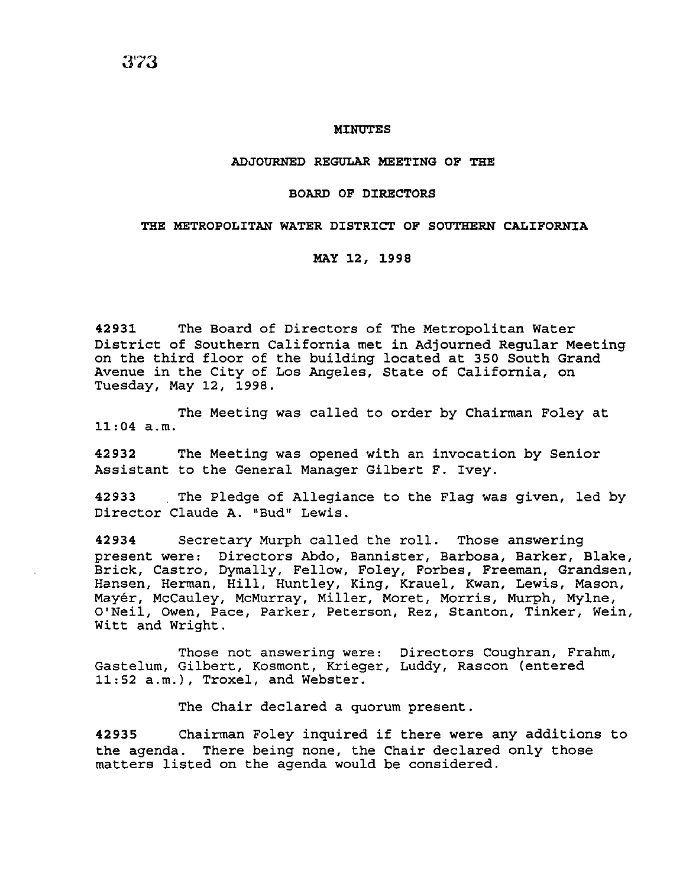#### MINUTES

#### ADJOURNED REGULAR MEETING OF THE

## BOARD OF DIRECTORS

#### THE METROPOLITAN WATER DISTRICT OF SOUTHERN CALIFORNIA

## MAY 12, 1998

42931 The Board of Directors of The Metropolitan Water District of Southern California met in Adjourned Regular Meeting on the third floor of the building located at 350 South Grand Avenue in the City of Los Angeles, State of California, on Tuesday, May 12, 1998.

The Meeting was called to order by Chairman Foley at 11:04 a.m.

42932 The Meeting was opened with an invocation by Senior Assistant to the General Manager Gilbert F. Ivey.

42933 The Pledge of Allegiance to the Flag was given, led by Director Claude A. "Bud" Lewis.

42934 Secretary Murph called the roll. Those answering present were: Directors Abdo, Bannister, Barbosa, Barker, Blake, Brick, Castro, Dymally, Fellow, Foley, Forbes, Freeman, Grandsen, Hansen, Herman, Hill, Huntley, King, Krauel, Kwan, Lewis, Mason, Mayer, McCauley, McMurray, Miller, Moret, Morris, Murph, Mylne, O'Neil, Owen, Pace, Parker, Peterson, Rez, Stanton, Tinker, Wein, Witt and Wright.

Those not answering were: Directors Coughran, Frahm, Gastelum, Gilbert, Kosmont, Krieger, Luddy, Rascon (entered 11:52 a.m.), Troxel, and Webster.

The Chair declared a quorum present.

42935 Chairman Foley inquired if there were any additions to the agenda. There being none, the Chair declared only those matters listed on the agenda would be considered.

3'73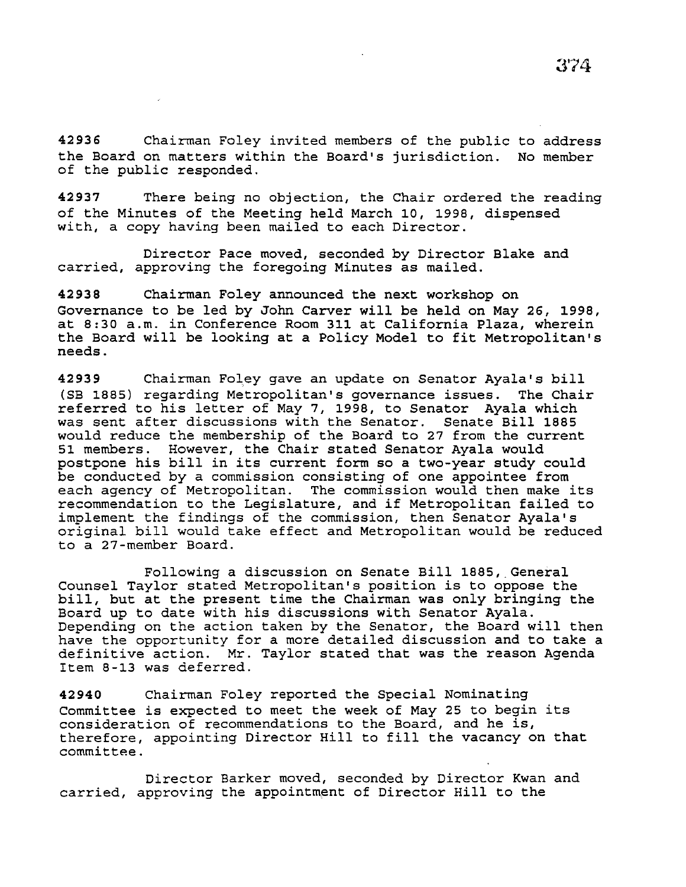42937 There being no objection, the Chair ordered the reading of the Minutes of the Meeting held March 10, 1998, dispensed with, a copy having been mailed to each Director.

Director Pace moved, seconded by Director Blake and carried, approving the foregoing Minutes as mailed.

42938 Chairman Foley announced the next workshop on Governance to be led by John Carver will be held on May 26, 1998, at 8:30 a.m. in Conference Room 311 at California Plaza, wherein the Board will be looking at a Policy Model to fit Metropolitan's needs.

42939 Chairman Foley gave an update on Senator Ayala's bill (SB 1885) regarding Metropolitan's governance issues. The Chair referred to his letter of May 7, 1998, to Senator Ayala which was sent after discussions with the Senator. Senate Bill 1885 would reduce the membership of the Board to 27 from the current 51 members. However, the Chair stated Senator Ayala would postpone his bill in its current form so a two-year study could be conducted by a commission consisting of one appointee from each agency of Metropolitan. The commission would then make its recommendation to the Legislature, and if Metropolitan failed to implement the findings of the commission, then Senator Ayala's original bill would take effect and Metropolitan would be reduced to a 27-member Board.

Following a discussion on Senate Bill 188S,\_General Counsel Taylor stated Metropolitan's position is to oppose the bill, but at the present time the Chairman was only bringing the Board up to date with his discussions with Senator Ayala. Depending on the action taken by the Senator, the Board will then have the opportunity for a more detailed discussion and to take a definitive action. Mr. Taylor stated that was the reason Agenda Item 8-13 was deferred.

42940 Chairman Foley reported the Special Nominating Committee is expected to meet the week of May 25 to begin its consideration of recommendations to the Board, and he is, therefore, appointing Director Hill to fill the vacancy on that committee.

Director Barker moved, seconded by Director Kwan and carried, approving the appointment of Director Hill to the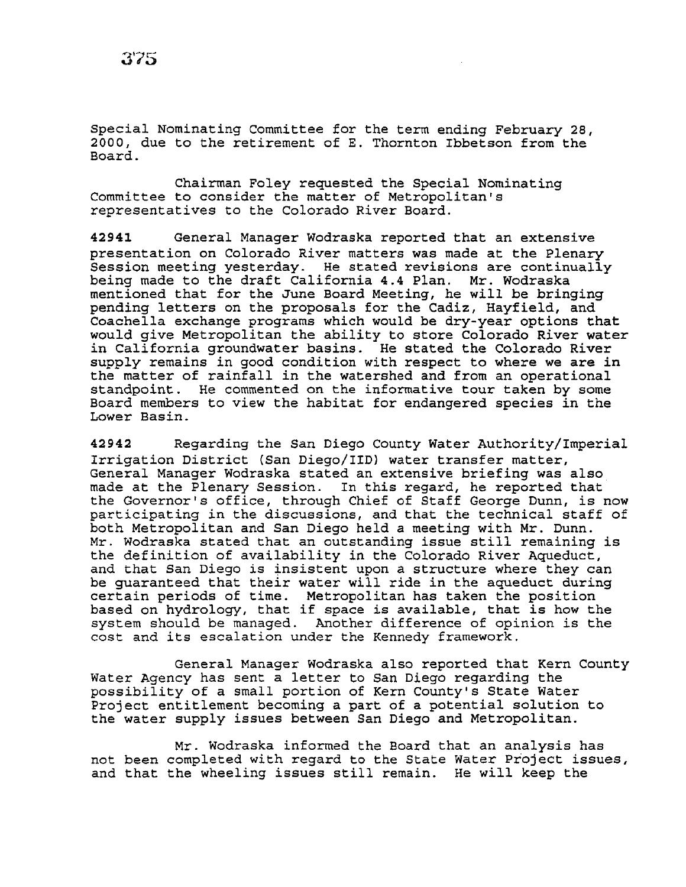Special Nominating Committee for the term ending February 28, 2000, due to the retirement of E. Thornton Ibbetson from the Board.

Chairman Foley requested the Special Nominating Committee to consider the matter of Metropolitan's representatives to the Colorado River Board.

42941 General Manager Wodraska reported that an extensive presentation on Colorado River matters was made at the Plenary Session meeting yesterday. He stated revisions are continually being made to the draft California 4.4 Plan. Mr. Wodraska mentioned that for the June Board Meeting, he will be bringing pending letters on the proposals for the Cadiz, Hayfield, and Coachella exchange programs which would be dry-year options that would *give* Metropolitan the ability to store Colorado River water in California groundwater basins. He stated the Colorado River supply remains *in* good condition with respect to where we are in the matter of rainfall in the watershed and from an operational standpoint. He commented on the informative tour taken by some Board members to view the habitat for endangered species in the Lower Basin.

42942 Regarding the San *Diego* County Water Authority/Imperial Irrigation District (San Diego/liD} water transfer matter, General Manager Wodraska stated an extensive briefing was also made at the Plenary Session. In this regard, he reported that the Governor's office, through Chief of Staff George Dunn, *is* now participating in the discussions, and that the technical staff of both Metropolitan and San *Diego* held a meeting with Mr. Dunn. Mr. Wodraska stated that an outstanding *issue* still remaining *is*  the definition of availability *in* the Colorado River Aqueduct, and that San Diego *is* insistent upon a structure where they can be guaranteed that their water will ride in the aqueduct during certain periods of time. Metropolitan has taken the position based on hydrology, that if space is available, that is how the system should be managed. Another difference of opinion is the cost and its escalation under the Kennedy framework.

General Manager Wodraska also reported that Kern County Water Agency has sent a letter to San Diego regarding the possibility of a small portion of Kern County's State Water Project entitlement becoming a part of a potential solution to the water supply issues between San Diego and Metropolitan.

Mr. Wodraska informed the Board that an analysis has not been completed with regard to the State Water Project issues, and that the wheeling issues still remain. He will keep the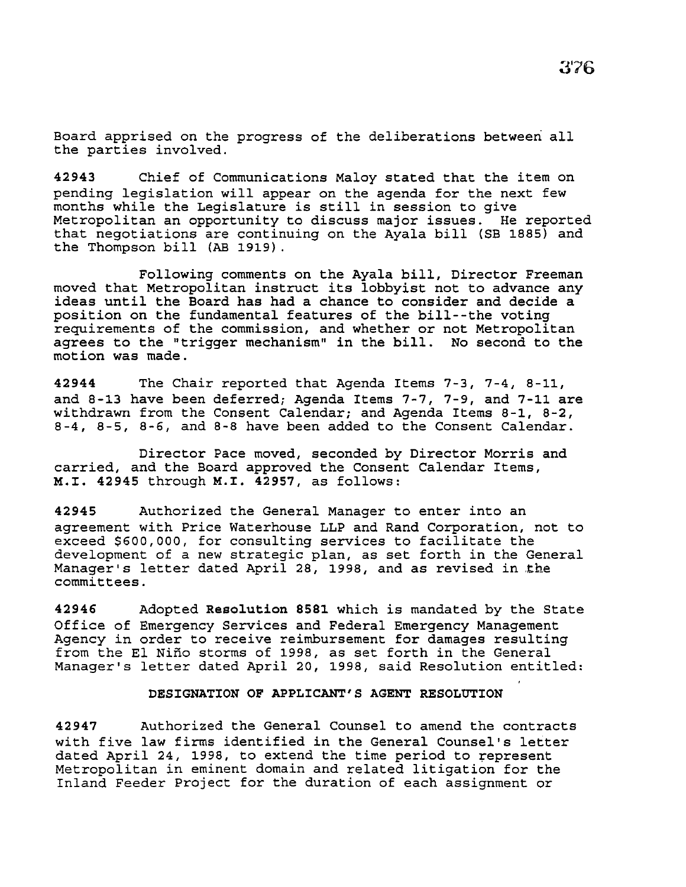Board apprised on the progress of the deliberations between all the parties involved.

42943 Chief of Communications Maloy stated that the item on pending legislation will appear on the agenda for the next few months while the Legislature is still in session to give Metropolitan an opportunity to discuss major issues. He reported that negotiations are continuing on the Ayala bill (SB 1885) and the Thompson bill (AB 1919).

Following comments on the Ayala bill, Director Freeman moved that Metropolitan instruct its lobbyist not to advance any ideas until the Board has had a chance to consider and decide a position on the fundamental features of the bill--the voting requirements of the commission, and whether or not Metropolitan agrees to the "trigger mechanism" in the bill. No second to the motion was made.

42944 The Chair reported that Agenda Items 7-3, 7-4, 8-11, and 8-13 have been deferred; Agenda Items 7-7, 7-9, and 7-11 are withdrawn from the Consent Calendar; and Agenda Items 8-1, 8-2, 8-4, 8-5, 8-6, and 8-8 have been added to the Consent Calendar.

Director Pace moved, seconded by Director Morris and carried, and the Board approved the Consent Calendar Items, M.I. 42945 through M.I. 42957, as follows:

42945 Authorized the General Manager to enter into an agreement with Price Waterhouse LLP and Rand Corporation, not to exceed \$600,000, for consulting services to facilitate the development of a new strategic plan, as set forth in the General Manager's letter dated April 28, 1998, and as revised in the committees.

42946 Adopted Resolution 8581 which is mandated by the State Office of Emergency Services and Federal Emergency Management Agency in order to receive reimbursement for damages resulting from the El Nino storms of 1998, as set forth in the General Manager's letter dated April 20, 1998, said Resolution entitled:

#### DESIGNATION OF APPLICANT'S AGENT RESOLUTION

42947 Authorized the General Counsel to amend the contracts with five law firms identified in the General Counsel's letter dated April 24, 1998, to extend the time period to represent Metropolitan in eminent domain and related litigation for the Inland Feeder Project for the duration of each assignment or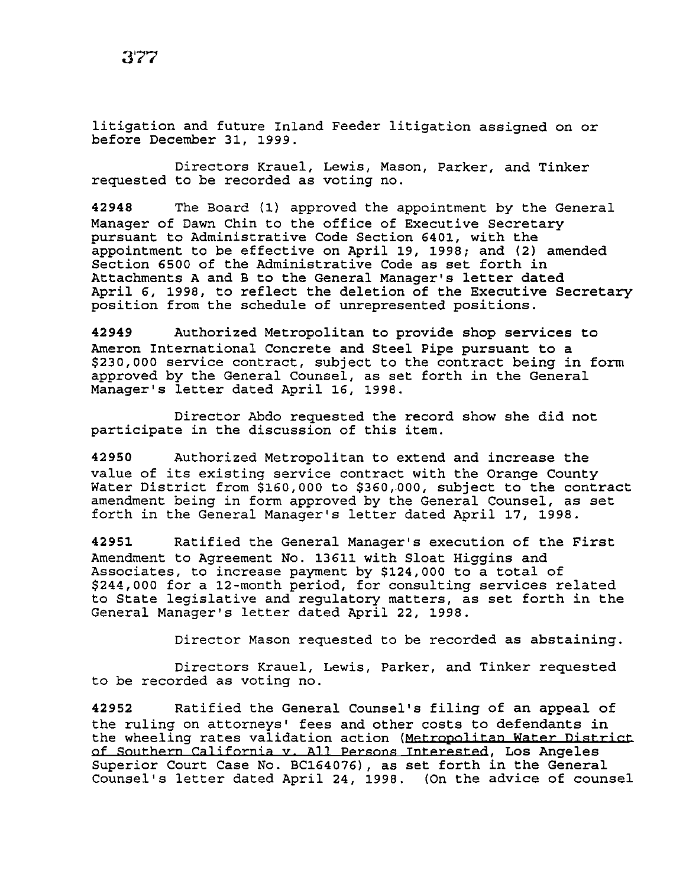litigation and future Inland Feeder litigation assigned on or before December 31, 1999.

Directors Krauel, Lewis, Mason, Parker, and Tinker requested to be recorded as voting no.

42948 The Board (1) approved the appointment by the General Manager of Dawn Chin to the office of Executive Secretary pursuant to Administrative Code Section 6401, with the appointment to be effective on April 19, 1998; and (2) amended Section 6500 of the Administrative Code as set forth *in*  Attachments A and B to the General Manager's letter dated April 6, 1998, to reflect the deletion of the Executive Secretary position from the schedule of unrepresented positions.

42949 Authorized Metropolitan to provide shop services to Ameron International Concrete and Steel Pipe pursuant to a \$230,000 service contract, subject to the contract being in form approved by the General Counsel, as set forth in the General Manager's letter dated April 16, 1998.

Director Abdo requested the record show she did not participate *in* the discussion of this item.

42950 Authorized Metropolitan to extend and increase the value of its existing service contract with the Orange County Water District from \$160,000 to \$360,000, subject to the contract amendment being *in* form approved by the General Counsel, as set forth *in* the General Manager's letter dated April 17, 1998.

42951 Ratified the General Manager's execution of the First Amendment to Agreement No. 13611 with Sloat Higgins and Associates, to increase payment by \$124,000 to a total of \$244,000 for a 12-month period, for consulting services related to State legislative and regulatory matters, as set forth in the General Manager's letter dated April 22, 1998.

Director Mason requested to be recorded as abstaining.

Directors Krauel, Lewis, Parker, and Tinker requested to be recorded as voting no.

42952 Ratified the General Counsel's filing of an appeal of the ruling on attorneys' fees and other costs to defendants in the wheeling rates validation action (Metropolitan Water District of Southern California v. All Persons Interested, Los Angeles Superior Court Case No. BC164076), as set forth in the General Counsel's letter dated April 24, 1998. (On the advice of counsel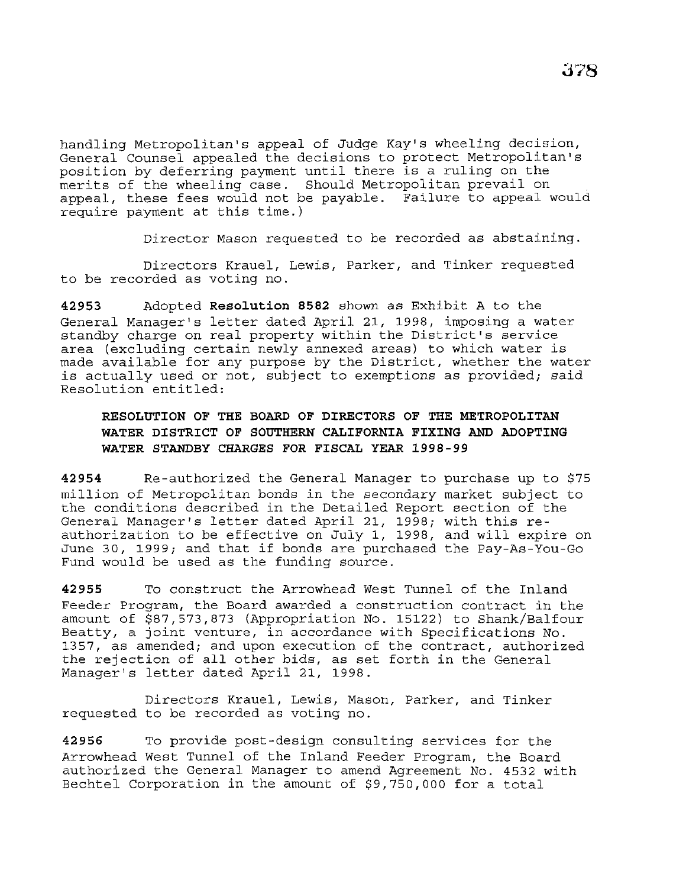handling Metropolitan's appeal of Judge Kay's wheeling decision, General Counsel appealed the decisions to protect Metropolitan's position by deferring payment until there is a ruling on the merits of the wheeling case. Should Metropolitan prevail on appeal, these fees would not be payable. Failure to appeal would require payment at this time.)

Director Mason requested to be recorded as abstaining.

Directors Krauel, Lewis, Parker, and Tinker requested to be recorded as voting no.

**42953** Adopted **Resolution 8582** shown as Exhibit A to the General Manager's letter dated April 21, 1998, imposing a water standby charge on real property within the District's service area (excluding certain newly annexed areas) to which water is made available for any purpose by the District, whether the water is actually used or not, subject to exemptions as provided; said Resolution entitled:

# **RESOLUTION OF THE BOARD OF DIRECTORS OF THE METROPOLITAN WATER DISTRICT OF SOUTHERN CALIFORNIA FIXING AND ADOPTING WATER STANDBY CHARGES FOR FISCAL YEAR 1998-99**

**42954** Re-authorized the General Manager to purchase up to \$75 million of Metropolitan bonds *in* the secondary market subject to the conditions described in the Detailed Report section of the General Manager's letter dated April 21, 1998; with this reauthorization to be effective on July 1, 1998, and will expire on June 30, 1999; and that if bonds are purchased the Pay-As-You-Go Fund would be used as the funding source.

**42955** To construct the Arrowhead West Tunnel of the Inland Feeder Program, the Board awarded a construction contract in the amount of \$87,573,873 (Appropriation No. 15122) to Shank/Balfour Beatty, a joint venture, in accordance with Specifications No. 1357, as amended; and upon execution of the contract, authorized the rejection of all other bids, as set forth in the General Manager's letter dated April 21, 1998.

Directors Krauel, Lewis, Mason, Parker, and Tinker requested to be recorded as voting no.

**42956** To provide post-design consulting services for the Arrowhead West Tunnel of the Inland Feeder Program, the Board authorized the General Manager to amend Agreement No. 4532 with Bechtel Corporation in the amount of \$9,750,000 for a total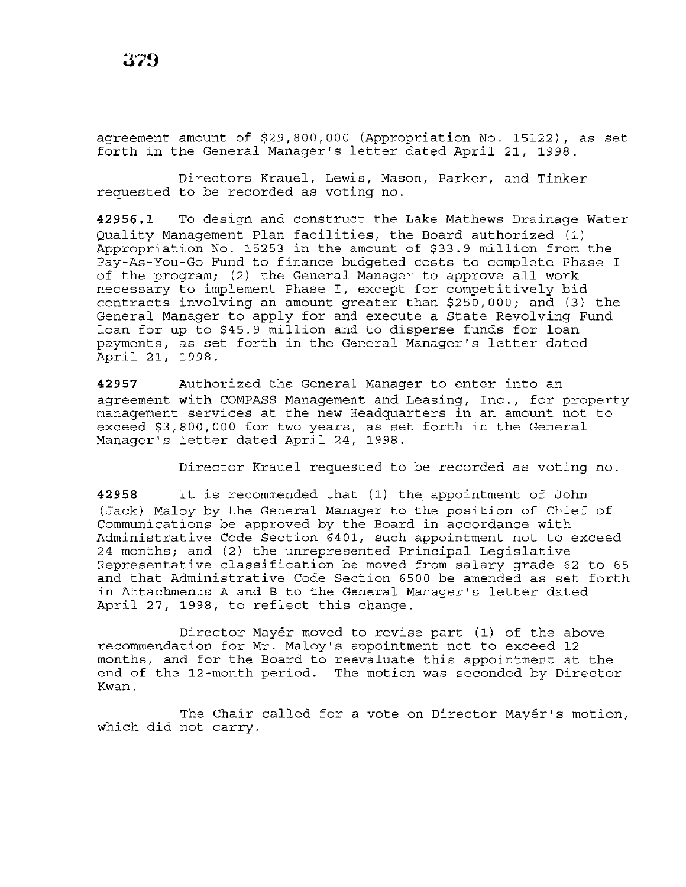agreement amount of \$29,800,000 (Appropriation No. 15122), as set forth in the General Manager's letter dated April 21, 1998.

Directors Krauel, Lewis, Mason, Parker, and Tinker requested to be recorded as voting no.

**42956.1** To design and construct the Lake Mathews Drainage Water Quality Management Plan facilities, the Board authorized (l) Appropriation No. 15253 in the amount of \$33.9 million from the Pay-As-You-Go Fund to finance budgeted costs to complete Phase I of the program; (2) the General Manager to approve all work necessary to implement Phase I, except for competitively bid contracts involving an amount greater than \$250,000; and (3) the General Manager to apply for and execute a State Revolving Fund loan for up to \$45.9 million and to disperse funds for loan payments, as set forth in the General Manager's letter dated April 21, 1998.

**42957** Authorized the General Manager to enter into an agreement with COMPASS Management and Leasing, Inc., for property management services at the new Headquarters in an amount not to exceed \$3,800,000 for two years, as set forth in the General Manager's letter dated April 24, 1998.

Director Krauel requested to be recorded as voting no.

**<sup>42958</sup>**It is recommended that (1) the appointment of John (Jack) Maloy by the General Manager to the position of Chief of Communications be approved by the Board in accordance with Administrative Code Section 6401, such appointment not to exceed 24 months; and (2) the unrepresented Principal Legislative Representative classification be moved from salary grade 62 to 65 and that Administrative Code Section 6500 be amended as set forth in Attachments A and B to the General Manager's letter dated April 27, 1998, to reflect this change.

Director Mayér moved to revise part (1) of the above recommendation for Mr. Maloy's appointment not to exceed 12 months, and for the Board to reevaluate this appointment at the end of the 12-month period. The motion was seconded by Director Kwan.

The Chair called for a vote on Director Mayér's motion, which did not carry.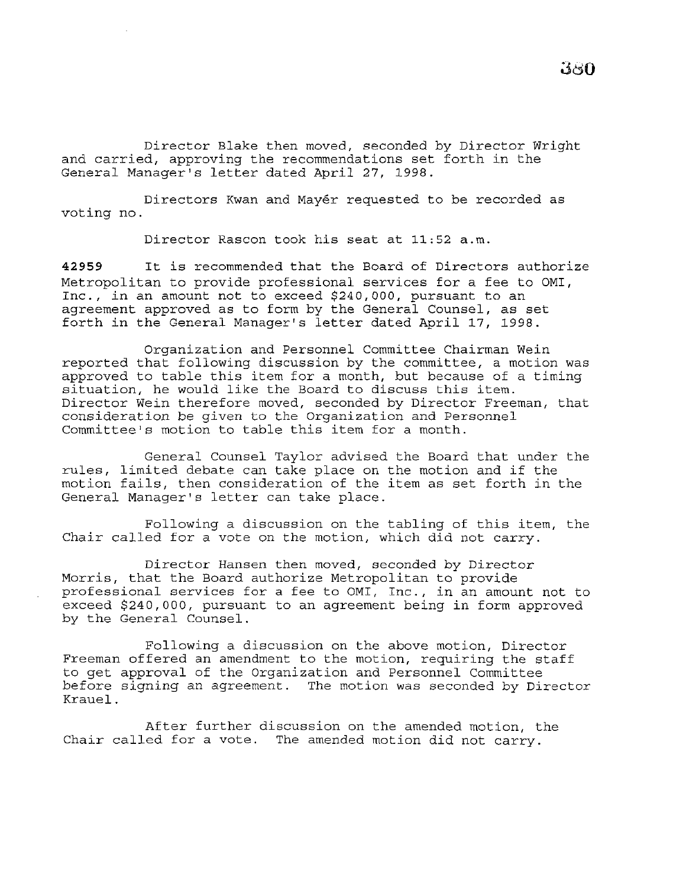Director Blake then moved, seconded by Director Wright and carried, approving the recommendations set forth in the General Manager's letter dated April 27, 1998.

Directors Kwan and Mayer requested to be recorded as voting no.

Director Rascon took his seat at 11:52 a.m.

**<sup>42959</sup>**It is recommended that the Board of Directors authorize Metropolitan to provide professional services for a fee to OMI, Inc., in an amount not to exceed \$240,000, pursuant to an agreement approved as to form by the General Counsel, as set forth in the General Manager's letter dated April 17, 1998.

Organization and Personnel Committee Chairman Wein reported that following discussion by the committee, a motion was approved to table this item for a month, but because of a timing situation, he would like the Board to discuss this item. Director Wein therefore moved, seconded by Director Freeman, that consideration be given to the Organization and Personnel Committee's motion to table this item for a month.

General Counsel Taylor advised the Board that under the rules, limited debate can take place on the motion and if the motion fails, then consideration of the item as set forth in the General Manager's letter can take place.

Following a discussion on the tabling of this item, the Chair called for a vote on the motion, which did not carry.

Director Hansen then moved, seconded by Director Morris, that the Board authorize Metropolitan to provide professional services for a fee to OMI, Inc., in an amount not to exceed \$240,000, pursuant to an agreement being in form approved by the General Counsel.

Following a discussion on the above motion, Director Freeman offered an amendment to the motion, requiring the staff to get approval of the Organization and Personnel Committee before signing an agreement. The motion was seconded by Director Krauel.

After further discussion on the amended motion, the Chair called for a vote. The amended motion did not carry.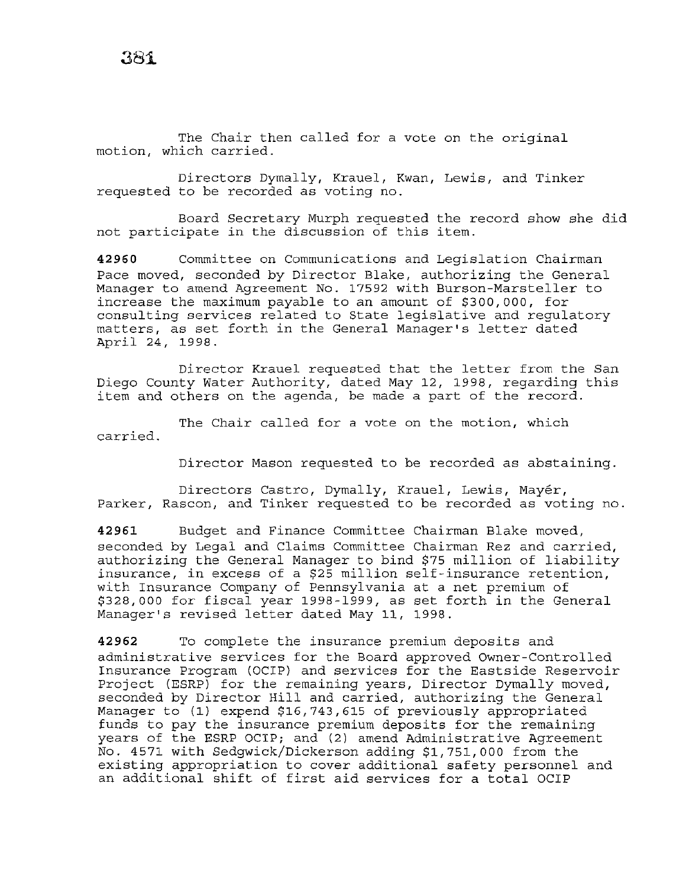The Chair then called for a vote on the original motion, which carried.

Directors Dymally, Krauel, Kwan, Lewis, and Tinker requested to be recorded as voting no.

Board Secretary Murph requested the record show she did not participate in the discussion of this item.

**42960** Committee on Communications and Legislation Chairman Pace moved, seconded by Director Blake, authorizing the General Manager to amend Agreement No. 17592 with Burson-Marsteller to increase the maximum payable to an amount of \$300,000, for consulting services related to State legislative and regulatory matters, as set forth in the General Manager's letter dated April 24, 1998.

Director Krauel requested that the letter from the San Diego County Water Authority, dated May 12, 1998, regarding this item and others on the agenda, be made a part of the record.

The Chair called for a vote on the motion, which carried.

Director Mason requested to be recorded as abstaining.

Directors Castro, Dymally, Krauel, Lewis, Mayer, Parker, Rascon, and Tinker requested to be recorded as voting no.

**42961** Budget and Finance Committee Chairman Blake moved, seconded by Legal and Claims Committee Chairman Rez and carried, authorizing the General Manager to bind \$75 million of liability insurance, in excess of a \$25 million self-insurance retention, with Insurance Company of Pennsylvania at a net premium of \$328,000 for fiscal year 1998-1999, as set forth in the General Manager's revised letter dated May 11, 1998.

**42962** To complete the insurance premium deposits and administrative services for the Board approved Owner-Controlled Insurance Program (OCIP) and services for the Eastside Reservoir Project (ESRP) for the remaining years, Director Dymally moved, seconded by Director Hill and carried, authorizing the General Manager to (1) expend \$16,743,615 of previously appropriated funds to pay the insurance premium deposits for the remaining years of the ESRP OCIP; and (2) amend Administrative Agreement No. 4571 with Sedgwick/Dickerson adding \$1,751,000 from the existing appropriation to cover additional safety personnel and an additional shift of first aid services for a total OCIP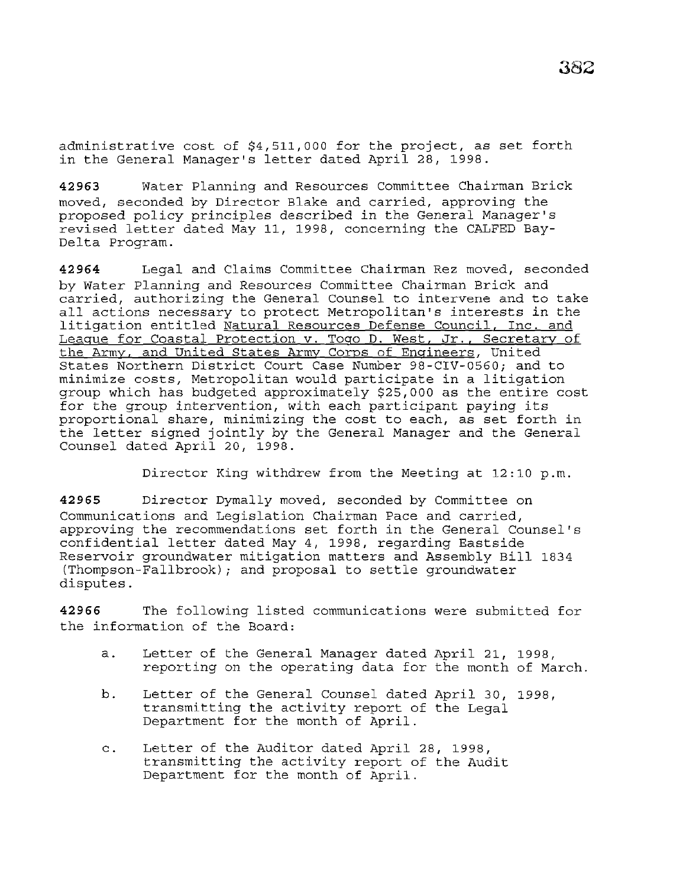administrative cost of \$4,511,000 for the project, as set forth in the General Manager's letter dated April 28, 1998.

**42963** Water Planning and Resources Committee Chairman Brick moved, seconded by Director Blake and carried, approving the proposed policy principles described in the General Manager's revised letter dated May 11, 1998, concerning the CALFED Bay-Delta Program.

**42964** Legal and Claims Committee Chairman Rez moved, seconded by Water Planning and Resources Committee Chairman Brick and carried, authorizing the General Counsel to intervene and to take all actions necessary to protect Metropolitan's interests in the litigation entitled Natural Resources Defense Council, Inc. and League for Coastal Protection v. Togo D. West, Jr., Secretary of the Army, and United States Army Corps of Engineers, United States Northern District Court Case Number 98-CIV-0560; and to minimize costs, Metropolitan would participate in a litigation group which has budgeted approximately \$25,000 as the entire cost for the group intervention, with each participant paying its proportional share, minimizing the cost to each, as set forth in the letter signed jointly by the General Manager and the General Counsel dated April 20, 1998.

Director King withdrew from the Meeting at 12:10 p.m.

**42965** Director Dymally moved, seconded by Committee on Communications and Legislation Chairman Pace and carried, approving the recommendations set forth in the General Counsel's confidential letter dated May 4, 1998, regarding Eastside Reservoir groundwater mitigation matters and Assembly Bill 1834 (Thompson-Fallbrook) ; and proposal to settle groundwater disputes.

**42966** The following listed communications were submitted for the information of the Board:

- a. Letter of the General Manager dated April 21, 1998, reporting on the operating data for the month of March.
- b. Letter of the General Counsel dated April 30, 1998, transmitting the activity report of the Legal Department for the month of April.
- c. Letter of the Auditor dated April 28, 1998, transmitting the activity report of the Audit Department for the month of April.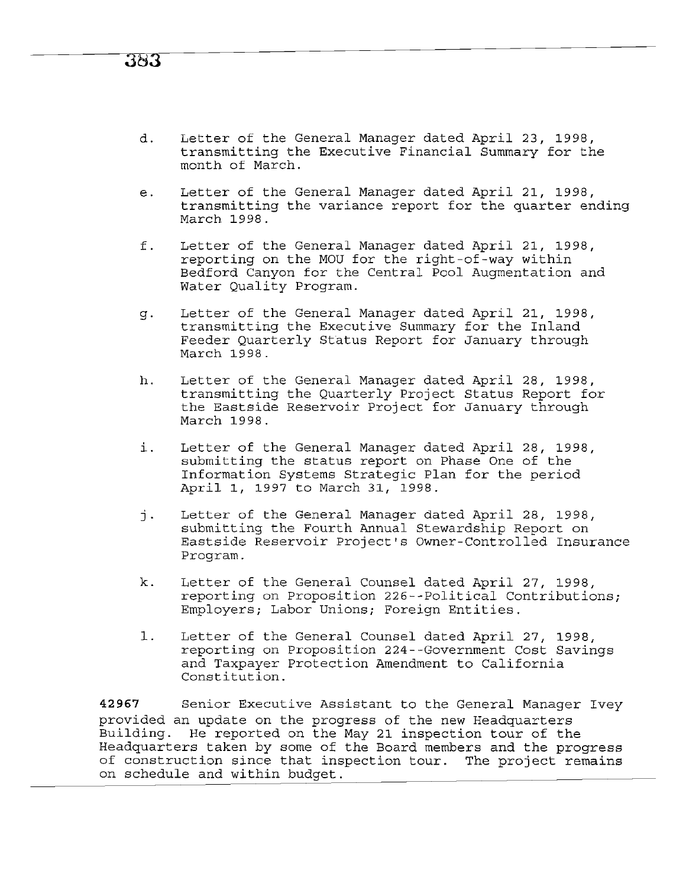## d. Letter of the General Manager dated April 23, 1998, transmitting the Executive Financial Summary for the month of March.

- e. Letter of the General Manager dated April 21, 1998, transmitting the variance report for the quarter ending March 1998.
- f. Letter of the General Manager dated April 21, 1998, reporting on the MOU for the right-of-way within Bedford Canyon for the Central Pool Augmentation and Water Quality Program.
- g. Letter of the General Manager dated April 21, 1998, transmitting the Executive Summary for the Inland Feeder Quarterly Status Report for January through March 1998.
- h. Letter of the General Manager dated April 28, 1998, transmitting the Quarterly Project Status Report for the Eastside Reservoir Project for January through March 1998.
- i. Letter of the General Manager dated April 28, 1998, submitting the status report on Phase One of the Information Systems Strategic Plan for the period April 1, 1997 to March 31, 1998.
- j. Letter of the General Manager dated April 28, 1998, submitting the Fourth Annual Stewardship Report on Eastside Reservoir Project's Owner-Controlled Insurance Program.
- k. Letter of the General Counsel dated April 27, 1998, reporting on Proposition 226--Political Contributions; Employers; Labor Unions; Foreign Entities.
- 1. Letter of the General Counsel dated April 27, 1998, reporting on Proposition 224--Government Cost Savings and Taxpayer Protection Amendment to California Constitution.

**42967** Senior Executive Assistant to the General Manager Ivey provided an update on the progress of the new Headquarters Building. He reported on the May 21 inspection tour of the Headquarters taken by some of the Board members and the progress of construction since that inspection tour. The project remains on schedule and within budget.

# 383.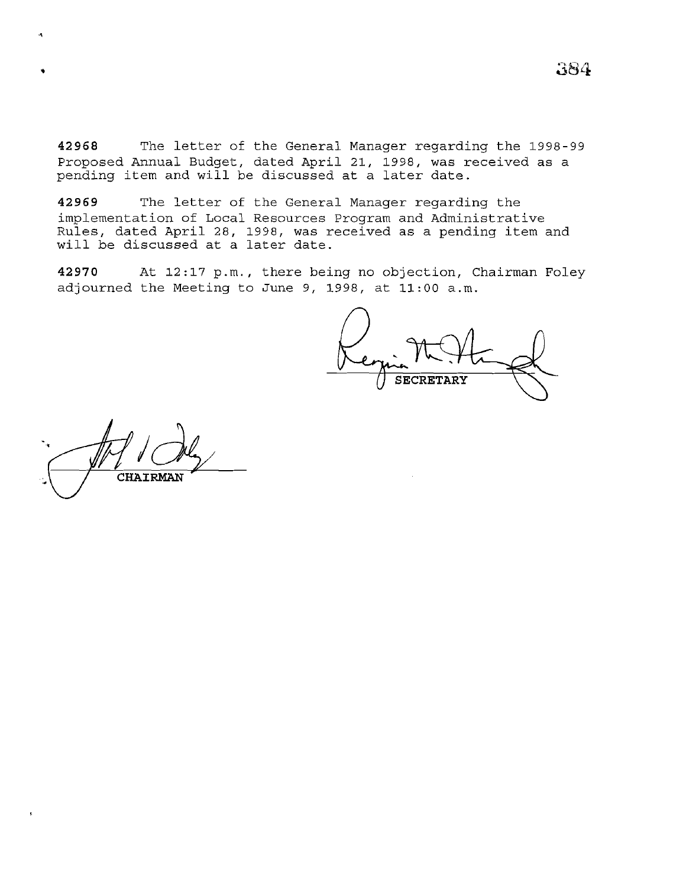**42968** The letter of the General Manager regarding the 1998-99 Proposed Annual Budget, dated April 21, 1998, was received as a pending item and will be discussed at a later date.

**42969** The letter of the General Manager regarding the implementation of Local Resources Program and Administrative Rules, dated April 28, 1998, was received as a pending item and nares, dated npril 20, 1990, was it

**42970** At 12:17 p.m., there being no objection, Chairman Foley adjourned the Meeting to June 9, 1998, at 11:00 a.m.

**SECRETARY** 

CHAIRMAN

 $\mathcal{A}$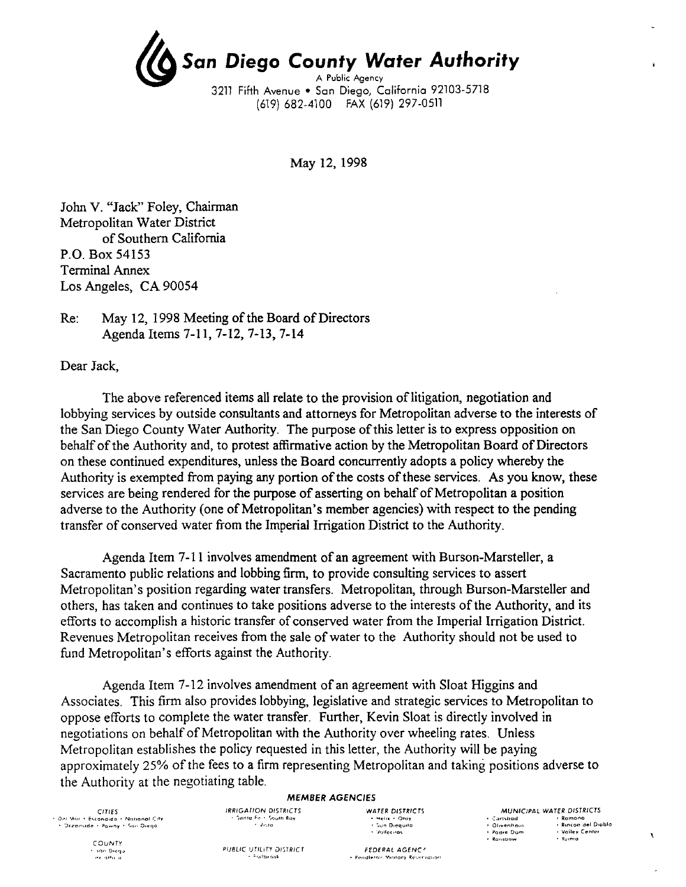

May 12, 1998

John V. "Jack" Foley, Chairman Metropolitan Water District of Southern California P.O. Box 54153 Terminal Annex Los Angeles, CA 90054

Re: May 12, 1998 Meeting of the Board of Directors Agenda Items 7-11,7-12,7-13,7-14

Dear Jack,

The above referenced items all relate to the provision of litigation, negotiation and lobbying services by outside consultants and attorneys for Metropolitan adverse to the interests of the San Diego County Water Authority. The purpose of this letter is to express opposition on behalf of the Authority and, to protest affirmative action by the Metropolitan Board of Directors on these continued expenditures, unless the Board concurrently adopts a policy whereby the Authority is exempted from paying any portion of the costs of these services. As you know, these services are being rendered for the purpose of asserting on behalf of Metropolitan a position adverse to the Authority (one of Metropolitan's member agencies) with respect to the pending transfer of conserved water from the Imperial Irrigation District to the Authority.

Agenda Item 7-11 involves amendment of an agreement with Burson-Marsteller, a Sacramento public relations and lobbing firm, to provide consulting services to assert Metropolitan's position regarding water transfers. Metropolitan, through Burson-Marsteller and others, has taken and continues to take positions adverse to the interests of the Authority, and its efforts to accomplish a historic transfer of conserved water from the Imperial Irrigation District. Revenues Metropolitan receives from the sale of water to the Authority should not be used to fund Metropolitan's efforts against the Authority.

Agenda Item 7-12 involves amendment of an agreement with Sloat Higgins and Associates. This firm also provides lobbying, legislative and strategic services to Metropolitan to oppose efforts to complete the water transfer. Further, Kevin Sloat is directly involved in negotiations on behalf of Metropolitan with the Authority over wheeling rates. Unless Metropolitan establishes the policy requested in this letter, the Authority will be paying approximately 25% of the fees to a firm representing Metropolitan and taking positions adverse to the Authority at the negotiating table.

#### *MEMBER AGENCIES*

*CITIES*  • Del Mar • Escondida • National City<br>- • Dceanside • Powny • Sun Diego

> *COUNTY*  • >[)n D·~•-1·~  $.14.14$

 $\sim$  decays.

**IRRIGATION DISTRICTS** WATER DISTRICTS<br>
Sunta Fold South Bay **Company** (Helix + Oray • Helix • Otay<br>• Sun Dieguito<br>• Vallecitos

MUNICIPAL WATER DISTRICTS •: Carlsbad<br>•: Olivenhain<br>•: Padre Dom • Ramona<br>• Rincon del Diablo<br>• Valley Center  $+$  Rambow - Yuma

 $-$ <sup>5</sup>rulbrook

PUBLIC UTILITY DISTRICT FEDERAL AGENCY FOR THE STATE RESERVED ON A FEDERAL AGENCY

 $\mathbf{A}$ 

J.